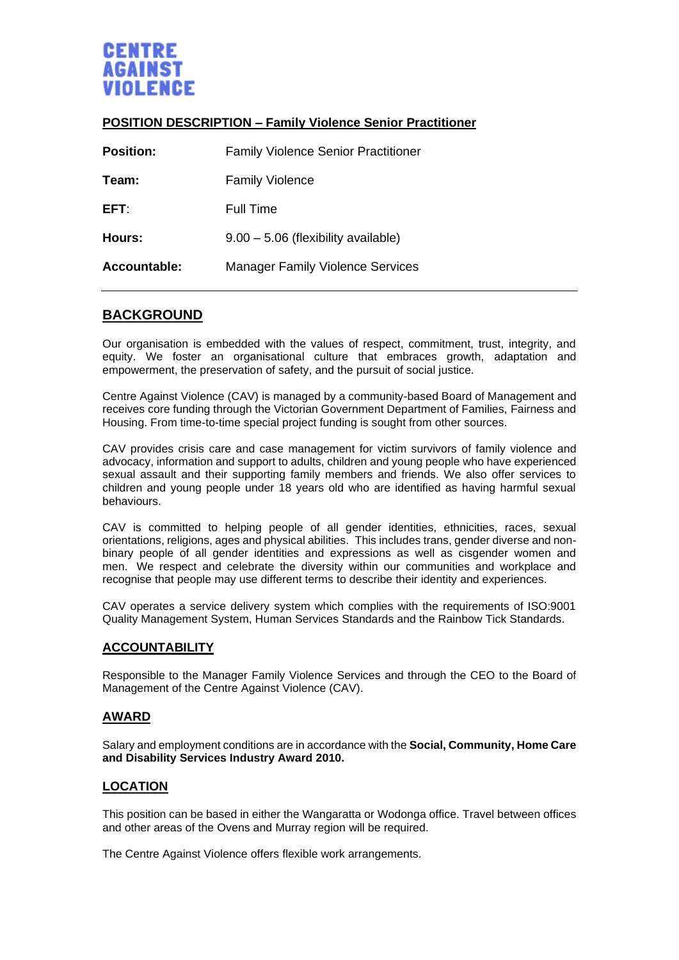

### **POSITION DESCRIPTION – Family Violence Senior Practitioner**

| <b>Position:</b> | <b>Family Violence Senior Practitioner</b> |
|------------------|--------------------------------------------|
| Team:            | <b>Family Violence</b>                     |
| EFT:             | <b>Full Time</b>                           |
| Hours:           | $9.00 - 5.06$ (flexibility available)      |
| Accountable:     | <b>Manager Family Violence Services</b>    |

# **BACKGROUND**

Our organisation is embedded with the values of respect, commitment, trust, integrity, and equity. We foster an organisational culture that embraces growth, adaptation and empowerment, the preservation of safety, and the pursuit of social justice.

Centre Against Violence (CAV) is managed by a community-based Board of Management and receives core funding through the Victorian Government Department of Families, Fairness and Housing. From time-to-time special project funding is sought from other sources.

CAV provides crisis care and case management for victim survivors of family violence and advocacy, information and support to adults, children and young people who have experienced sexual assault and their supporting family members and friends. We also offer services to children and young people under 18 years old who are identified as having harmful sexual behaviours.

CAV is committed to helping people of all gender identities, ethnicities, races, sexual orientations, religions, ages and physical abilities. This includes trans, gender diverse and nonbinary people of all gender identities and expressions as well as cisgender women and men. We respect and celebrate the diversity within our communities and workplace and recognise that people may use different terms to describe their identity and experiences.

CAV operates a service delivery system which complies with the requirements of ISO:9001 Quality Management System, Human Services Standards and the Rainbow Tick Standards.

#### **ACCOUNTABILITY**

Responsible to the Manager Family Violence Services and through the CEO to the Board of Management of the Centre Against Violence (CAV).

#### **AWARD**

Salary and employment conditions are in accordance with the **Social, Community, Home Care and Disability Services Industry Award 2010.**

#### **LOCATION**

This position can be based in either the Wangaratta or Wodonga office. Travel between offices and other areas of the Ovens and Murray region will be required.

The Centre Against Violence offers flexible work arrangements.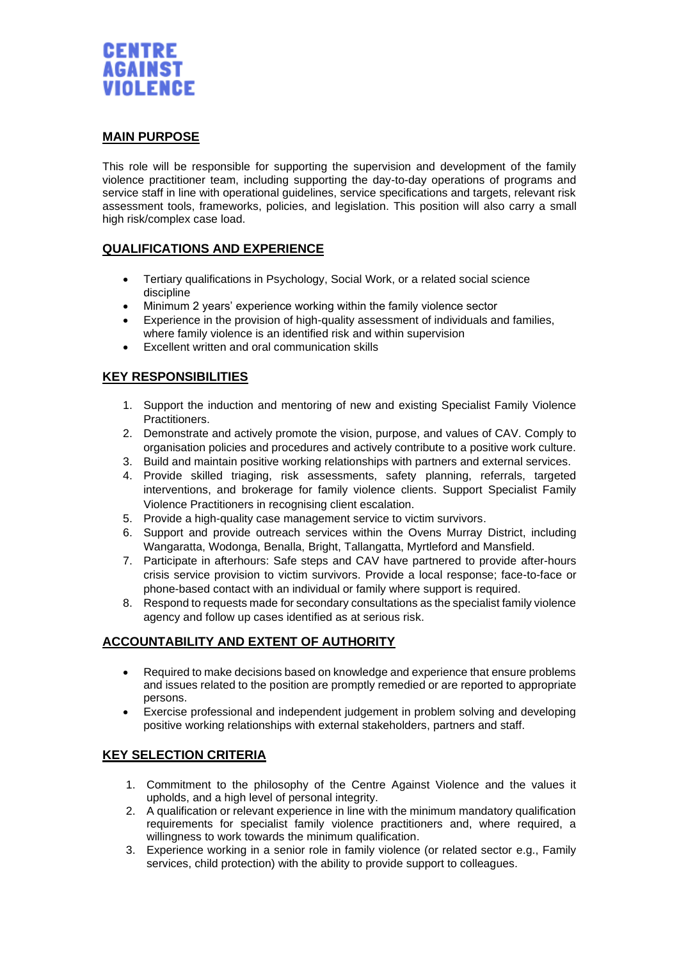

#### **MAIN PURPOSE**

This role will be responsible for supporting the supervision and development of the family violence practitioner team, including supporting the day-to-day operations of programs and service staff in line with operational guidelines, service specifications and targets, relevant risk assessment tools, frameworks, policies, and legislation. This position will also carry a small high risk/complex case load.

### **QUALIFICATIONS AND EXPERIENCE**

- Tertiary qualifications in Psychology, Social Work, or a related social science discipline
- Minimum 2 years' experience working within the family violence sector
- Experience in the provision of high-quality assessment of individuals and families, where family violence is an identified risk and within supervision
- Excellent written and oral communication skills

## **KEY RESPONSIBILITIES**

- 1. Support the induction and mentoring of new and existing Specialist Family Violence Practitioners.
- 2. Demonstrate and actively promote the vision, purpose, and values of CAV. Comply to organisation policies and procedures and actively contribute to a positive work culture.
- 3. Build and maintain positive working relationships with partners and external services.
- 4. Provide skilled triaging, risk assessments, safety planning, referrals, targeted interventions, and brokerage for family violence clients. Support Specialist Family Violence Practitioners in recognising client escalation.
- 5. Provide a high-quality case management service to victim survivors.
- 6. Support and provide outreach services within the Ovens Murray District, including Wangaratta, Wodonga, Benalla, Bright, Tallangatta, Myrtleford and Mansfield.
- 7. Participate in afterhours: Safe steps and CAV have partnered to provide after-hours crisis service provision to victim survivors. Provide a local response; face-to-face or phone-based contact with an individual or family where support is required.
- 8. Respond to requests made for secondary consultations as the specialist family violence agency and follow up cases identified as at serious risk.

### **ACCOUNTABILITY AND EXTENT OF AUTHORITY**

- Required to make decisions based on knowledge and experience that ensure problems and issues related to the position are promptly remedied or are reported to appropriate persons.
- Exercise professional and independent judgement in problem solving and developing positive working relationships with external stakeholders, partners and staff.

### **KEY SELECTION CRITERIA**

- 1. Commitment to the philosophy of the Centre Against Violence and the values it upholds, and a high level of personal integrity.
- 2. A qualification or relevant experience in line with the minimum mandatory qualification requirements for specialist family violence practitioners and, where required, a willingness to work towards the minimum qualification.
- 3. Experience working in a senior role in family violence (or related sector e.g., Family services, child protection) with the ability to provide support to colleagues.